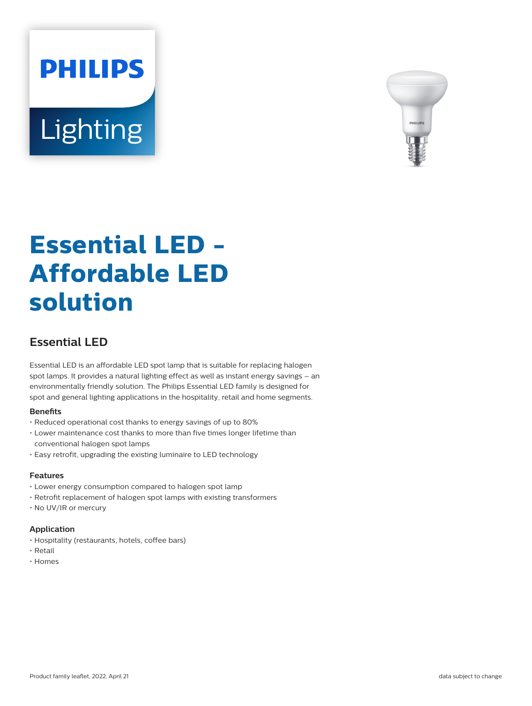



# **Essential LED - Affordable LED solution**

## **Essential LED**

Essential LED is an affordable LED spot lamp that is suitable for replacing halogen spot lamps. It provides a natural lighting effect as well as instant energy savings – an environmentally friendly solution. The Philips Essential LED family is designed for spot and general lighting applications in the hospitality, retail and home segments.

#### **Benets**

- Reduced operational cost thanks to energy savings of up to 80%
- Lower maintenance cost thanks to more than five times longer lifetime than conventional halogen spot lamps
- Easy retrofit, upgrading the existing luminaire to LED technology

## **Features**

- Lower energy consumption compared to halogen spot lamp
- Retrofit replacement of halogen spot lamps with existing transformers
- No UV/IR or mercury

#### **Application**

- Hospitality (restaurants, hotels, coffee bars)
- Retail
- Homes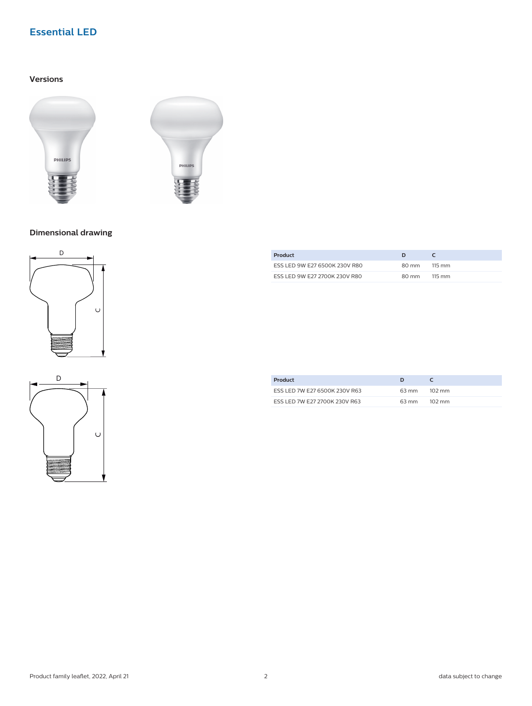## **Essential LED**

## **Versions**





## **Dimensional drawing**





| Product                       | D     |                      |
|-------------------------------|-------|----------------------|
| ESS LED 9W E27 6500K 230V R80 | 80 mm | 115 mm               |
| ESS LED 9W E27 2700K 230V R80 | 80 mm | $115 \, \mathrm{mm}$ |

| Product                       |       |        |
|-------------------------------|-------|--------|
| ESS LED 7W E27 6500K 230V R63 | 63 mm | 102 mm |
| ESS LED 7W E27 2700K 230V R63 | 63 mm | 102 mm |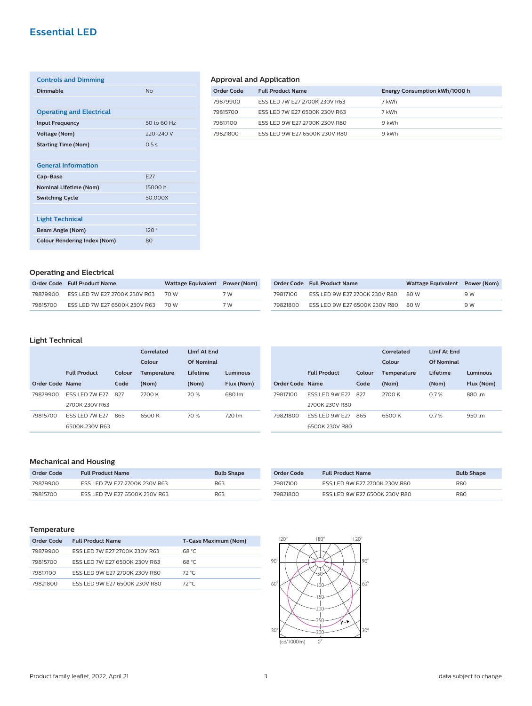## **Essential LED**

| <b>Controls and Dimming</b>         |             |
|-------------------------------------|-------------|
| <b>Dimmable</b>                     | No          |
|                                     |             |
| <b>Operating and Electrical</b>     |             |
| <b>Input Frequency</b>              | 50 to 60 Hz |
| <b>Voltage (Nom)</b>                | 220-240 V   |
| <b>Starting Time (Nom)</b>          | 0.5s        |
|                                     |             |
| <b>General Information</b>          |             |
| Cap-Base                            | <b>E27</b>  |
| <b>Nominal Lifetime (Nom)</b>       | 15000 h     |
| <b>Switching Cycle</b>              | 50,000X     |
|                                     |             |
| <b>Light Technical</b>              |             |
| <b>Beam Angle (Nom)</b>             | 120°        |
| <b>Colour Rendering Index (Nom)</b> | 80          |

## **Approval and Application**

| <b>Full Product Name</b>      | Energy Consumption kWh/1000 h |
|-------------------------------|-------------------------------|
| ESS LED 7W E27 2700K 230V R63 | 7 kWh                         |
| ESS LED 7W E27 6500K 230V R63 | 7 kWh                         |
| ESS LED 9W E27 2700K 230V R80 | 9 kWh                         |
| ESS LED 9W E27 6500K 230V R80 | 9 kWh                         |
|                               |                               |

## **Operating and Electrical**

|          | Order Code Full Product Name  | Wattage Equivalent Power (Nom) |     |
|----------|-------------------------------|--------------------------------|-----|
| 79879900 | ESS LED 7W E27 2700K 230V R63 | 70 W                           | 7 W |
| 79815700 | ESS LED 7W E27 6500K 230V R63 | 70 W                           | 7 W |

|          | Order Code Full Product Name  | Wattage Equivalent Power (Nom) |     |
|----------|-------------------------------|--------------------------------|-----|
| 79817100 | ESS LED 9W E27 2700K 230V R80 | 80 W                           | 9 W |
| 79821800 | ESS LED 9W E27 6500K 230V R80 | 80 W                           | 9 W |

## **Light Technical**

|                 |                       |        | Correlated         | <b>I Imf At Fnd</b> |            |
|-----------------|-----------------------|--------|--------------------|---------------------|------------|
|                 |                       |        | Colour             | Of Nominal          |            |
|                 | <b>Full Product</b>   | Colour | <b>Temperature</b> | Lifetime            | Luminous   |
| Order Code Name |                       | Code   | (Nom)              | (Nom)               | Flux (Nom) |
| 79879900        | <b>FSS LED 7W F27</b> | 827    | 2700 K             | 70 %                | 680 lm     |
|                 | 2700K 230V R63        |        |                    |                     |            |
| 79815700        | <b>ESS LED 7W E27</b> | 865    | 6500 K             | 70 %                | 720 lm     |
|                 | 6500K 230V R63        |        |                    |                     |            |

|                 |                       |        | Correlated         | <b>Limf At End</b> |            |
|-----------------|-----------------------|--------|--------------------|--------------------|------------|
|                 |                       |        | Colour             | Of Nominal         |            |
|                 | <b>Full Product</b>   | Colour | <b>Temperature</b> | I ifetime          | Luminous   |
| Order Code Name |                       | Code   | (Nom)              | (Nom)              | Flux (Nom) |
| 79817100        | <b>ESS LED 9W E27</b> | 827    | 2700 K             | 0.7%               | 880 lm     |
|                 | 2700K 230V R80        |        |                    |                    |            |
| 79821800        | <b>ESS LED 9W E27</b> | 865    | 6500 K             | 0.7%               | 950 lm     |
|                 | 6500K 230V R80        |        |                    |                    |            |

## **Mechanical and Housing**

| Order Code | <b>Full Product Name</b>      | <b>Bulb Shape</b> |
|------------|-------------------------------|-------------------|
| 79879900   | ESS LED 7W E27 2700K 230V R63 | R63               |
| 79815700   | ESS LED 7W E27 6500K 230V R63 | R63               |

| Order Code | <b>Full Product Name</b>      | <b>Bulb Shape</b> |
|------------|-------------------------------|-------------------|
| 79817100   | ESS LED 9W E27 2700K 230V R80 | <b>R80</b>        |
| 79821800   | ESS LED 9W E27 6500K 230V R80 | <b>R80</b>        |

## **Temperature**

| Order Code | <b>Full Product Name</b>      | T-Case Maximum (Nom) |
|------------|-------------------------------|----------------------|
| 79879900   | ESS LED 7W E27 2700K 230V R63 | 68 °C                |
| 79815700   | ESS LED 7W E27 6500K 230V R63 | 68 °C                |
| 79817100   | ESS LED 9W E27 2700K 230V R80 | 72 °C                |
| 79821800   | ESS LED 9W E27 6500K 230V R80 | 72 °C                |